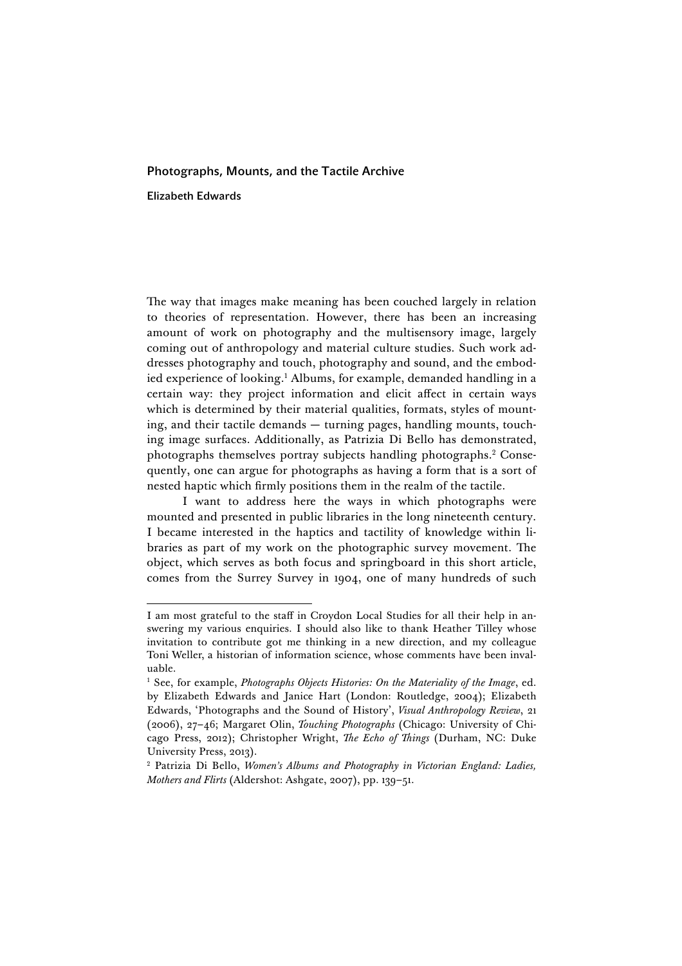## Photographs, Mounts, and the Tactile Archive

Elizabeth Edwards

<u> 1989 - Johann Stein, fransk politik (d. 1989)</u>

The way that images make meaning has been couched largely in relation to theories of representation. However, there has been an increasing amount of work on photography and the multisensory image, largely coming out of anthropology and material culture studies. Such work addresses photography and touch, photography and sound, and the embodied experience of looking. <sup>1</sup> Albums, for example, demanded handling in a certain way: they project information and elicit affect in certain ways which is determined by their material qualities, formats, styles of mounting, and their tactile demands — turning pages, handling mounts, touching image surfaces. Additionally, as Patrizia Di Bello has demonstrated, photographs themselves portray subjects handling photographs. <sup>2</sup> Consequently, one can argue for photographs as having a form that is a sort of nested haptic which firmly positions them in the realm of the tactile.

I want to address here the ways in which photographs were mounted and presented in public libraries in the long nineteenth century. I became interested in the haptics and tactility of knowledge within libraries as part of my work on the photographic survey movement. The object, which serves as both focus and springboard in this short article, comes from the Surrey Survey in 1904, one of many hundreds of such

I am most grateful to the staff in Croydon Local Studies for all their help in answering my various enquiries. I should also like to thank Heather Tilley whose invitation to contribute got me thinking in a new direction, and my colleague Toni Weller, a historian of information science, whose comments have been invaluable.

<sup>&</sup>lt;sup>1</sup> See, for example, *Photographs Objects Histories: On the Materiality of the Image*, ed. by Elizabeth Edwards and Janice Hart (London: Routledge, 2004); Elizabeth Edwards, 'Photographs and the Sound of History', *Visual Anthropology Review*, 21 (2006), 27–46; Margaret Olin, *Touching Photographs* (Chicago: University of Chicago Press, 2012); Christopher Wright, *The Echo of Things* (Durham, NC: Duke University Press, 2013).

<sup>2</sup> Patrizia Di Bello, *Women's Albums and Photography in Victorian England: Ladies, Mothers and Flirts* (Aldershot: Ashgate, 2007), pp. 139–51.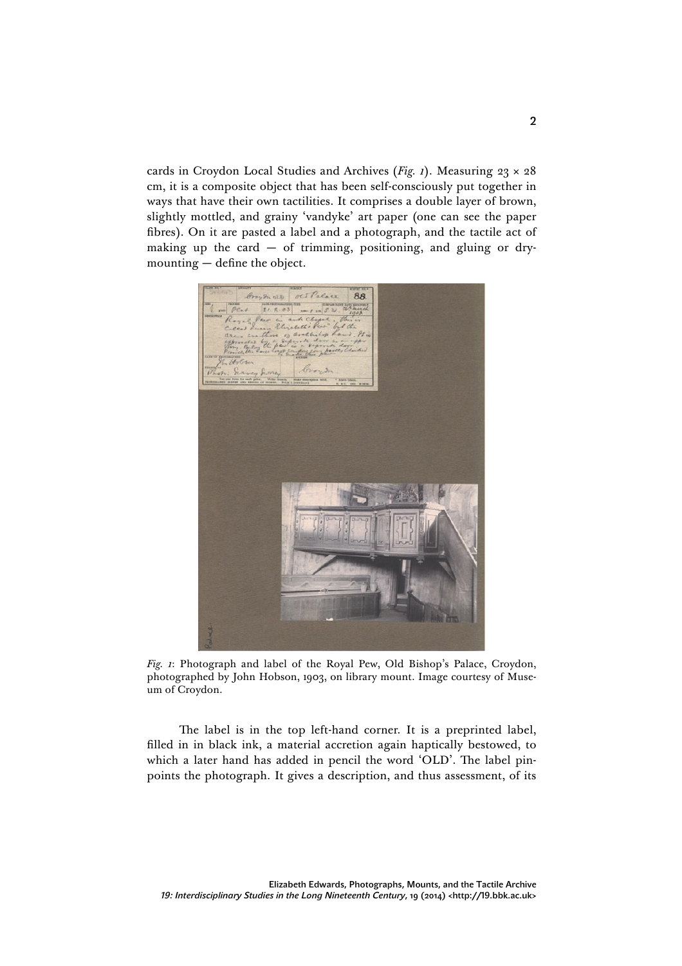cards in Croydon Local Studies and Archives (*Fig. 1*). Measuring 23 × 28 cm, it is a composite object that has been self-consciously put together in ways that have their own tactilities. It comprises a double layer of brown, slightly mottled, and grainy 'vandyke' art paper (one can see the paper fibres). On it are pasted a label and a photograph, and the tactile act of making up the card  $-$  of trimming, positioning, and gluing or drymounting — define the object.



*Fig. 1*: Photograph and label of the Royal Pew, Old Bishop's Palace, Croydon, photographed by John Hobson, 1903, on library mount. Image courtesy of Museum of Croydon.

The label is in the top left-hand corner. It is a preprinted label, filled in in black ink, a material accretion again haptically bestowed, to which a later hand has added in pencil the word 'OLD'. The label pinpoints the photograph. It gives a description, and thus assessment, of its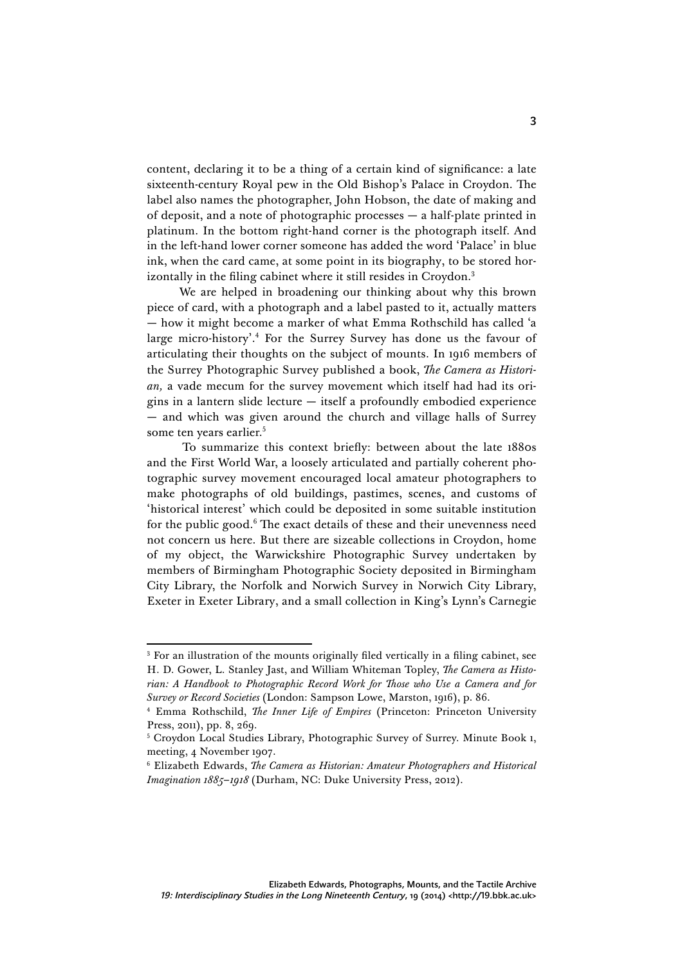content, declaring it to be a thing of a certain kind of significance: a late sixteenth-century Royal pew in the Old Bishop's Palace in Croydon. The label also names the photographer, John Hobson, the date of making and of deposit, and a note of photographic processes — a half-plate printed in platinum. In the bottom right-hand corner is the photograph itself. And in the left-hand lower corner someone has added the word 'Palace' in blue ink, when the card came, at some point in its biography, to be stored horizontally in the filing cabinet where it still resides in Croydon. 3

We are helped in broadening our thinking about why this brown piece of card, with a photograph and a label pasted to it, actually matters — how it might become a marker of what Emma Rothschild has called 'a large micro-history'. <sup>4</sup> For the Surrey Survey has done us the favour of articulating their thoughts on the subject of mounts. In 1916 members of the Surrey Photographic Survey published a book, *The Camera as Historian,* a vade mecum for the survey movement which itself had had its origins in a lantern slide lecture  $-$  itself a profoundly embodied experience — and which was given around the church and village halls of Surrey some ten years earlier.<sup>5</sup>

To summarize this context briefly: between about the late 1880s and the First World War, a loosely articulated and partially coherent photographic survey movement encouraged local amateur photographers to make photographs of old buildings, pastimes, scenes, and customs of 'historical interest' which could be deposited in some suitable institution for the public good. <sup>6</sup> The exact details of these and their unevenness need not concern us here. But there are sizeable collections in Croydon, home of my object, the Warwickshire Photographic Survey undertaken by members of Birmingham Photographic Society deposited in Birmingham City Library, the Norfolk and Norwich Survey in Norwich City Library, Exeter in Exeter Library, and a small collection in King's Lynn's Carnegie

<sup>&</sup>lt;sup>3</sup> For an illustration of the mounts originally filed vertically in a filing cabinet, see H. D. Gower, L. Stanley Jast, and William Whiteman Topley, *The Camera as Historian: A Handbook to Photographic Record Work for Those who Use a Camera and for Survey or Record Societies* (London: Sampson Lowe, Marston, 1916), p. 86.

<sup>4</sup> Emma Rothschild, *The Inner Life of Empires* (Princeton: Princeton University Press, 2011), pp. 8, 269.<br><sup>5</sup> Croydon Local Studies Library, Photographic Survey of Surrey. Minute Book 1,

meeting, 4 November 1907.

<sup>6</sup> Elizabeth Edwards, *The Camera as Historian: Amateur Photographers and Historical Imagination 1885–1918* (Durham, NC: Duke University Press, 2012).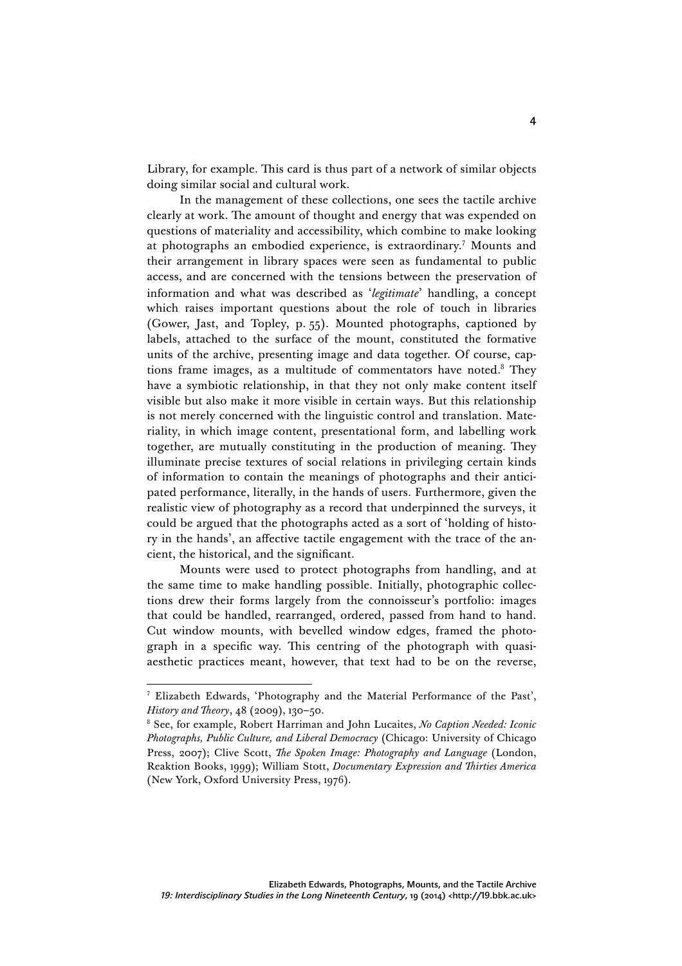Library, for example. This card is thus part of a network of similar objects doing similar social and cultural work.

In the management of these collections, one sees the tactile archive clearly at work. The amount of thought and energy that was expended on questions of materiality and accessibility, which combine to make looking at photographs an embodied experience, is extraordinary.<sup>7</sup> Mounts and their arrangement in library spaces were seen as fundamental to public access, and are concerned with the tensions between the preservation of information and what was described as '*legitimate*' handling, a concept which raises important questions about the role of touch in libraries (Gower, Jast, and Topley, p. 55). Mounted photographs, captioned by labels, attached to the surface of the mount, constituted the formative units of the archive, presenting image and data together. Of course, captions frame images, as a multitude of commentators have noted.8 They have a symbiotic relationship, in that they not only make content itself visible but also make it more visible in certain ways. But this relationship is not merely concerned with the linguistic control and translation. Materiality, in which image content, presentational form, and labelling work together, are mutually constituting in the production of meaning. They illuminate precise textures of social relations in privileging certain kinds of information to contain the meanings of photographs and their anticipated performance, literally, in the hands of users. Furthermore, given the realistic view of photography as a record that underpinned the surveys, it could be argued that the photographs acted as a sort of 'holding of history in the hands', an affective tactile engagement with the trace of the ancient, the historical, and the significant.

Mounts were used to protect photographs from handling, and at the same time to make handling possible. Initially, photographic collections drew their forms largely from the connoisseur's portfolio: images that could be handled, rearranged, ordered, passed from hand to hand. Cut window mounts, with bevelled window edges, framed the photograph in a specific way. This centring of the photograph with quasiaesthetic practices meant, however, that text had to be on the reverse,

<u> 1989 - Johann Stein, fransk politik (d. 1989)</u>

<sup>7</sup> Elizabeth Edwards, 'Photography and the Material Performance of the Past', *History and Theory*, 48 (2009), 130–50.

<sup>8</sup> See, for example, Robert Harriman and John Lucaites, *No Caption Needed: Iconic Photographs, Public Culture, and Liberal Democracy* (Chicago: University of Chicago Press, 2007); Clive Scott, *The Spoken Image: Photography and Language* (London, Reaktion Books, 1999); William Stott, *Documentary Expression and Thirties America*  (New York, Oxford University Press, 1976).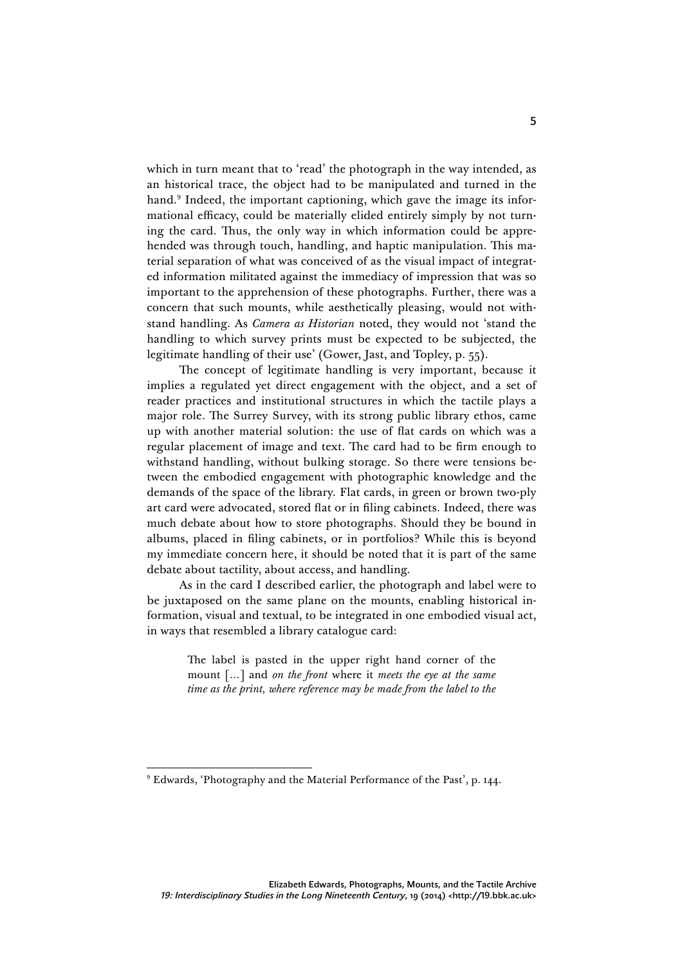which in turn meant that to 'read' the photograph in the way intended, as an historical trace, the object had to be manipulated and turned in the hand. <sup>9</sup> Indeed, the important captioning, which gave the image its informational efficacy, could be materially elided entirely simply by not turning the card. Thus, the only way in which information could be apprehended was through touch, handling, and haptic manipulation. This material separation of what was conceived of as the visual impact of integrated information militated against the immediacy of impression that was so important to the apprehension of these photographs. Further, there was a concern that such mounts, while aesthetically pleasing, would not withstand handling. As *Camera as Historian* noted, they would not 'stand the handling to which survey prints must be expected to be subjected, the legitimate handling of their use' (Gower, Jast, and Topley, p. 55).

The concept of legitimate handling is very important, because it implies a regulated yet direct engagement with the object, and a set of reader practices and institutional structures in which the tactile plays a major role. The Surrey Survey, with its strong public library ethos, came up with another material solution: the use of flat cards on which was a regular placement of image and text. The card had to be firm enough to withstand handling, without bulking storage. So there were tensions between the embodied engagement with photographic knowledge and the demands of the space of the library. Flat cards, in green or brown two-ply art card were advocated, stored flat or in filing cabinets. Indeed, there was much debate about how to store photographs. Should they be bound in albums, placed in filing cabinets, or in portfolios? While this is beyond my immediate concern here, it should be noted that it is part of the same debate about tactility, about access, and handling.

As in the card I described earlier, the photograph and label were to be juxtaposed on the same plane on the mounts, enabling historical information, visual and textual, to be integrated in one embodied visual act, in ways that resembled a library catalogue card:

> The label is pasted in the upper right hand corner of the mount […] and *on the front* where it *meets the eye at the same time as the print, where reference may be made from the label to the*

<sup>9</sup> Edwards, 'Photography and the Material Performance of the Past', p. 144.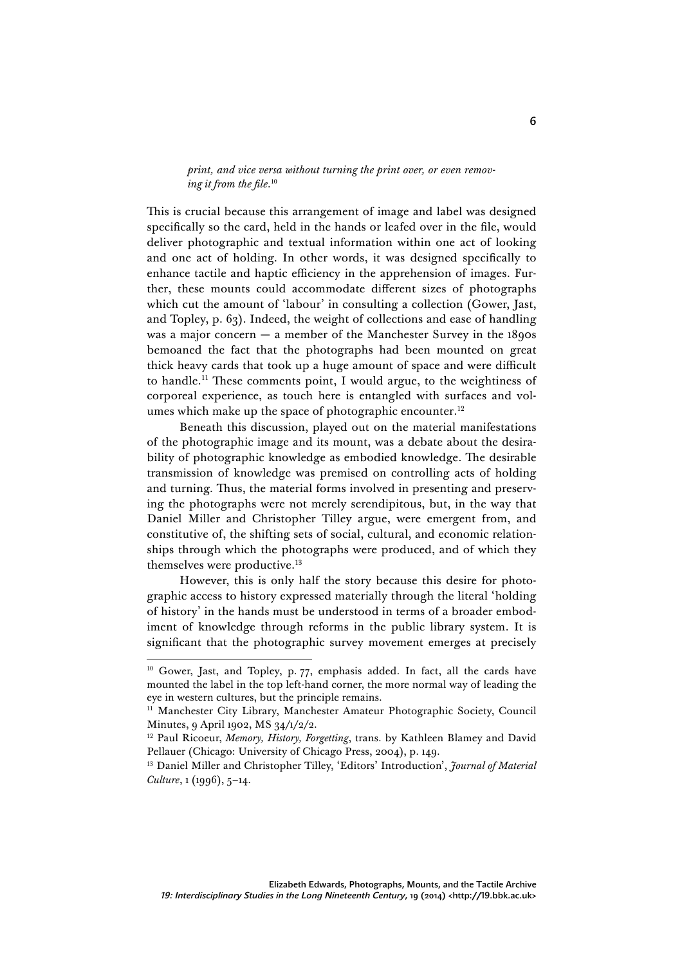*print, and vice versa without turning the print over, or even removing it from the file*. 10

This is crucial because this arrangement of image and label was designed specifically so the card, held in the hands or leafed over in the file, would deliver photographic and textual information within one act of looking and one act of holding. In other words, it was designed specifically to enhance tactile and haptic efficiency in the apprehension of images. Further, these mounts could accommodate different sizes of photographs which cut the amount of 'labour' in consulting a collection (Gower, Jast, and Topley, p. 63). Indeed, the weight of collections and ease of handling was a major concern — a member of the Manchester Survey in the 1890s bemoaned the fact that the photographs had been mounted on great thick heavy cards that took up a huge amount of space and were difficult to handle. <sup>11</sup> These comments point, I would argue, to the weightiness of corporeal experience, as touch here is entangled with surfaces and volumes which make up the space of photographic encounter. 12

Beneath this discussion, played out on the material manifestations of the photographic image and its mount, was a debate about the desirability of photographic knowledge as embodied knowledge. The desirable transmission of knowledge was premised on controlling acts of holding and turning. Thus, the material forms involved in presenting and preserving the photographs were not merely serendipitous, but, in the way that Daniel Miller and Christopher Tilley argue, were emergent from, and constitutive of, the shifting sets of social, cultural, and economic relationships through which the photographs were produced, and of which they themselves were productive. 13

However, this is only half the story because this desire for photographic access to history expressed materially through the literal 'holding of history' in the hands must be understood in terms of a broader embodiment of knowledge through reforms in the public library system. It is significant that the photographic survey movement emerges at precisely

<sup>&</sup>lt;sup>10</sup> Gower, Jast, and Topley, p. 77, emphasis added. In fact, all the cards have mounted the label in the top left-hand corner, the more normal way of leading the eye in western cultures, but the principle remains.

<sup>&</sup>lt;sup>11</sup> Manchester City Library, Manchester Amateur Photographic Society, Council Minutes, 9 April 1902, MS 34/1/2/2.

<sup>&</sup>lt;sup>12</sup> Paul Ricoeur, *Memory, History, Forgetting*, trans. by Kathleen Blamey and David Pellauer (Chicago: University of Chicago Press, 2004), p. 149.

<sup>13</sup> Daniel Miller and Christopher Tilley, 'Editors' Introduction', *Journal of Material Culture*, 1 (1996), 5–14.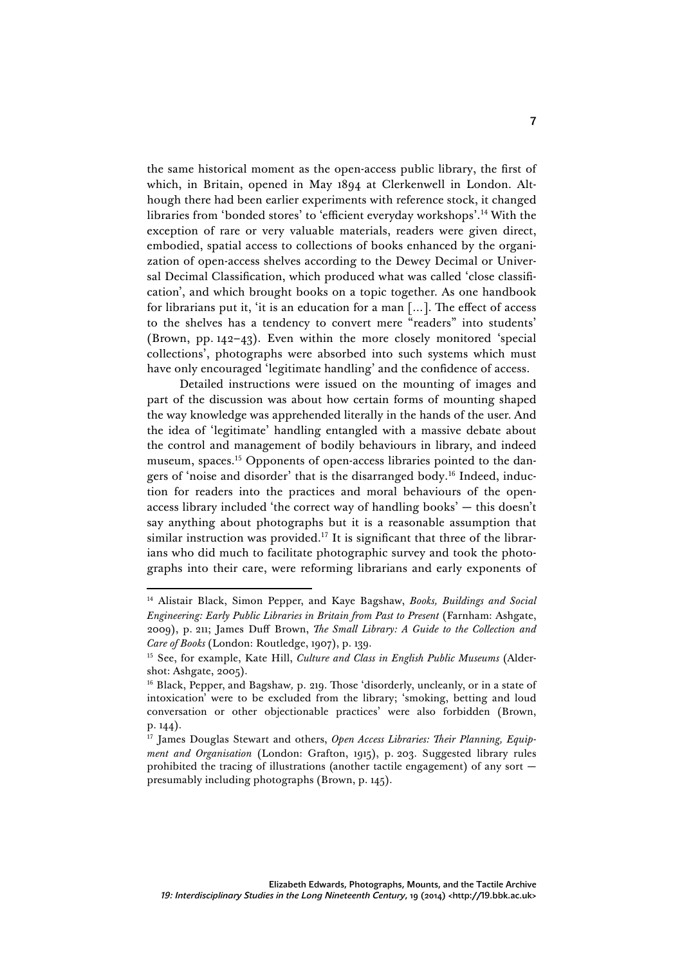the same historical moment as the open-access public library, the first of which, in Britain, opened in May 1894 at Clerkenwell in London. Although there had been earlier experiments with reference stock, it changed libraries from 'bonded stores' to 'efficient everyday workshops'. <sup>14</sup> With the exception of rare or very valuable materials, readers were given direct, embodied, spatial access to collections of books enhanced by the organization of open-access shelves according to the Dewey Decimal or Universal Decimal Classification, which produced what was called 'close classification', and which brought books on a topic together. As one handbook for librarians put it, 'it is an education for a man […]. The effect of access to the shelves has a tendency to convert mere "readers" into students' (Brown, pp. 142–43). Even within the more closely monitored 'special collections', photographs were absorbed into such systems which must have only encouraged 'legitimate handling' and the confidence of access.

Detailed instructions were issued on the mounting of images and part of the discussion was about how certain forms of mounting shaped the way knowledge was apprehended literally in the hands of the user. And the idea of 'legitimate' handling entangled with a massive debate about the control and management of bodily behaviours in library, and indeed museum, spaces. <sup>15</sup> Opponents of open-access libraries pointed to the dangers of 'noise and disorder' that is the disarranged body. <sup>16</sup> Indeed, induction for readers into the practices and moral behaviours of the openaccess library included 'the correct way of handling books' — this doesn't say anything about photographs but it is a reasonable assumption that similar instruction was provided.<sup>17</sup> It is significant that three of the librarians who did much to facilitate photographic survey and took the photographs into their care, were reforming librarians and early exponents of

<sup>14</sup> Alistair Black, Simon Pepper, and Kaye Bagshaw, *Books, Buildings and Social Engineering: Early Public Libraries in Britain from Past to Present* (Farnham: Ashgate, 2009), p. 211; James Duff Brown, *The Small Library: A Guide to the Collection and Care of Books* (London: Routledge, 1907), p. 139.

<sup>15</sup> See, for example, Kate Hill, *Culture and Class in English Public Museums* (Aldershot: Ashgate, 2005).

<sup>16</sup> Black, Pepper, and Bagshaw*,* p. 219. Those 'disorderly, uncleanly, or in a state of intoxication' were to be excluded from the library; 'smoking, betting and loud conversation or other objectionable practices' were also forbidden (Brown, p. 144).

<sup>&</sup>lt;sup>17</sup> James Douglas Stewart and others, Open Access Libraries: Their Planning, Equip*ment and Organisation* (London: Grafton, 1915), p. 203. Suggested library rules prohibited the tracing of illustrations (another tactile engagement) of any sort  $$ presumably including photographs (Brown, p. 145).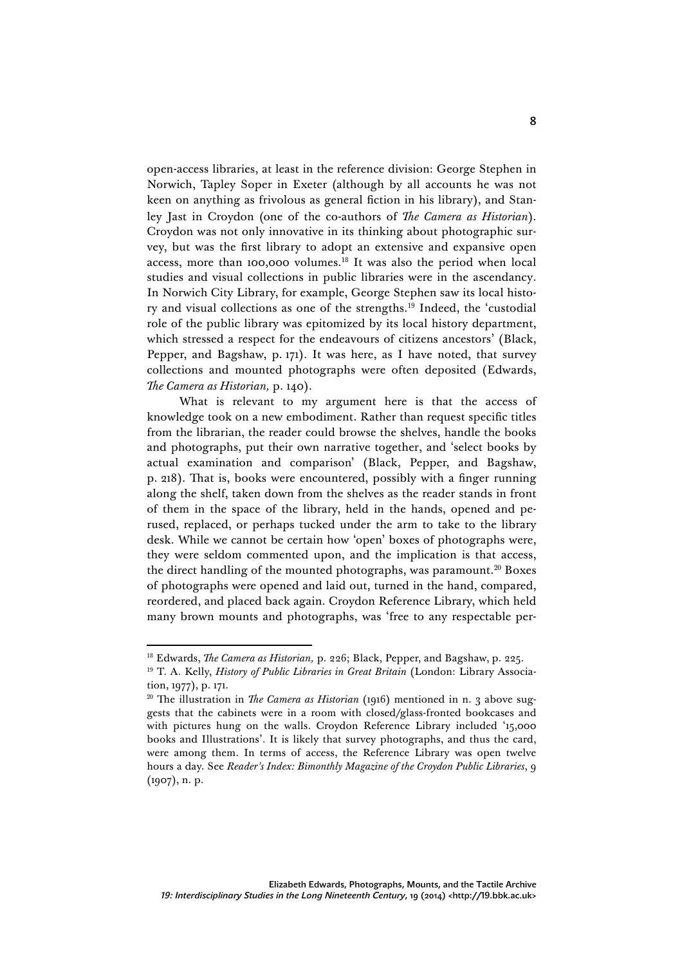open-access libraries, at least in the reference division: George Stephen in Norwich, Tapley Soper in Exeter (although by all accounts he was not keen on anything as frivolous as general fiction in his library), and Stanley Jast in Croydon (one of the co-authors of *The Camera as Historian*). Croydon was not only innovative in its thinking about photographic survey, but was the first library to adopt an extensive and expansive open access, more than 100,000 volumes. <sup>18</sup> It was also the period when local studies and visual collections in public libraries were in the ascendancy. In Norwich City Library, for example, George Stephen saw its local history and visual collections as one of the strengths. <sup>19</sup> Indeed, the 'custodial role of the public library was epitomized by its local history department, which stressed a respect for the endeavours of citizens ancestors' (Black, Pepper, and Bagshaw, p. 171). It was here, as I have noted, that survey collections and mounted photographs were often deposited (Edwards, *The Camera as Historian,* p. 140).

What is relevant to my argument here is that the access of knowledge took on a new embodiment. Rather than request specific titles from the librarian, the reader could browse the shelves, handle the books and photographs, put their own narrative together, and 'select books by actual examination and comparison' (Black, Pepper, and Bagshaw, p. 218). That is, books were encountered, possibly with a finger running along the shelf, taken down from the shelves as the reader stands in front of them in the space of the library, held in the hands, opened and perused, replaced, or perhaps tucked under the arm to take to the library desk. While we cannot be certain how 'open' boxes of photographs were, they were seldom commented upon, and the implication is that access, the direct handling of the mounted photographs, was paramount.<sup>20</sup> Boxes of photographs were opened and laid out, turned in the hand, compared, reordered, and placed back again. Croydon Reference Library, which held many brown mounts and photographs, was 'free to any respectable per-

<sup>&</sup>lt;sup>18</sup> Edwards, *The Camera as Historian*, p. 226; Black, Pepper, and Bagshaw, p. 225.

<sup>19</sup> T. A. Kelly, *History of Public Libraries in Great Britain* (London: Library Association, 1977), p. 171.

<sup>&</sup>lt;sup>20</sup> The illustration in *The Camera as Historian* (1916) mentioned in n. 3 above suggests that the cabinets were in a room with closed/glass-fronted bookcases and with pictures hung on the walls. Croydon Reference Library included '15,000 books and Illustrations'. It is likely that survey photographs, and thus the card, were among them. In terms of access, the Reference Library was open twelve hours a day. See *Reader's Index: Bimonthly Magazine of the Croydon Public Libraries*, 9 (1907), n. p.